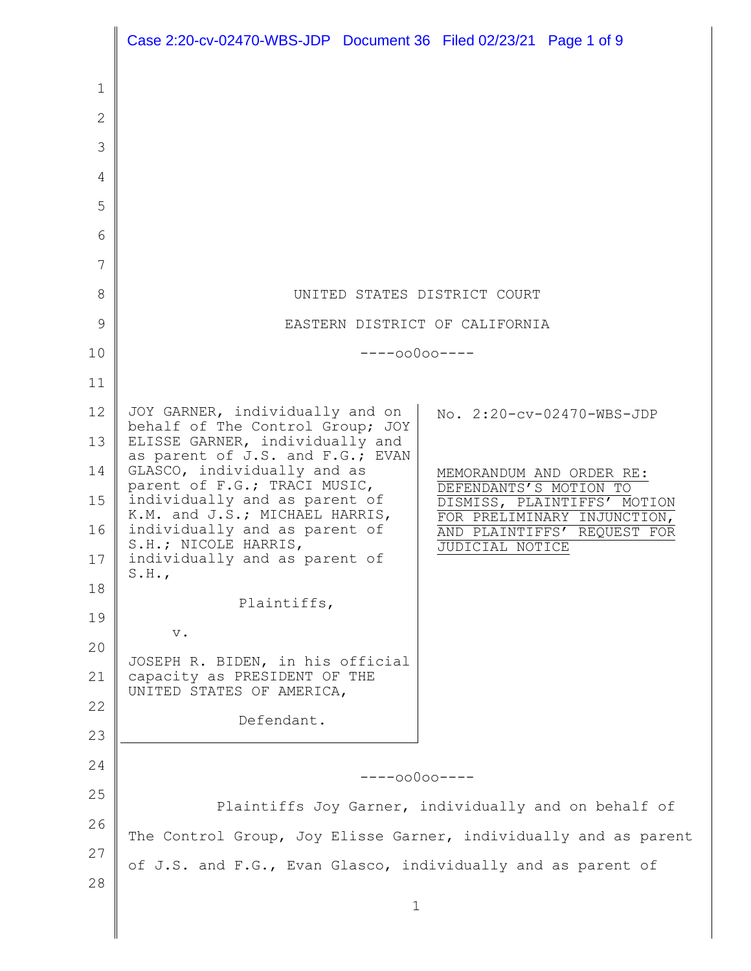|                | Case 2:20-cv-02470-WBS-JDP Document 36 Filed 02/23/21 Page 1 of 9   |                                                               |
|----------------|---------------------------------------------------------------------|---------------------------------------------------------------|
| 1              |                                                                     |                                                               |
| $\overline{2}$ |                                                                     |                                                               |
| 3              |                                                                     |                                                               |
| 4              |                                                                     |                                                               |
| 5              |                                                                     |                                                               |
| 6              |                                                                     |                                                               |
| 7              |                                                                     |                                                               |
| 8              | UNITED STATES DISTRICT COURT                                        |                                                               |
| 9              | EASTERN DISTRICT OF CALIFORNIA                                      |                                                               |
| 10             | $---00000---$                                                       |                                                               |
| 11             |                                                                     |                                                               |
| 12             | JOY GARNER, individually and on<br>behalf of The Control Group; JOY | No. 2:20-cv-02470-WBS-JDP                                     |
| 13             | ELISSE GARNER, individually and<br>as parent of J.S. and F.G.; EVAN |                                                               |
| 14             | GLASCO, individually and as<br>parent of F.G.; TRACI MUSIC,         | MEMORANDUM AND ORDER RE:<br>DEFENDANTS'S MOTION TO            |
| 15             | individually and as parent of<br>K.M. and J.S.; MICHAEL HARRIS,     | DISMISS, PLAINTIFFS' MOTION<br>FOR PRELIMINARY<br>INJUNCTION, |
| 16             | individually and as parent of<br>S.H.; NICOLE HARRIS,               | AND PLAINTIFFS'<br>REQUEST FOR<br><b>JUDICIAL NOTICE</b>      |
| 17             | individually and as parent of<br>S.H.                               |                                                               |
| 18             | Plaintiffs,                                                         |                                                               |
| 19             | $\mathbf v$ .                                                       |                                                               |
| 20             | JOSEPH R. BIDEN, in his official                                    |                                                               |
| 21             | capacity as PRESIDENT OF THE<br>UNITED STATES OF AMERICA,           |                                                               |
| 22             | Defendant.                                                          |                                                               |
| 23             |                                                                     |                                                               |
| 24             | $---00000---$                                                       |                                                               |
| 25             | Plaintiffs Joy Garner, individually and on behalf of                |                                                               |
| 26             | The Control Group, Joy Elisse Garner, individually and as parent    |                                                               |
| 27             | of J.S. and F.G., Evan Glasco, individually and as parent of        |                                                               |
| 28             |                                                                     |                                                               |
|                | $\mathbf 1$                                                         |                                                               |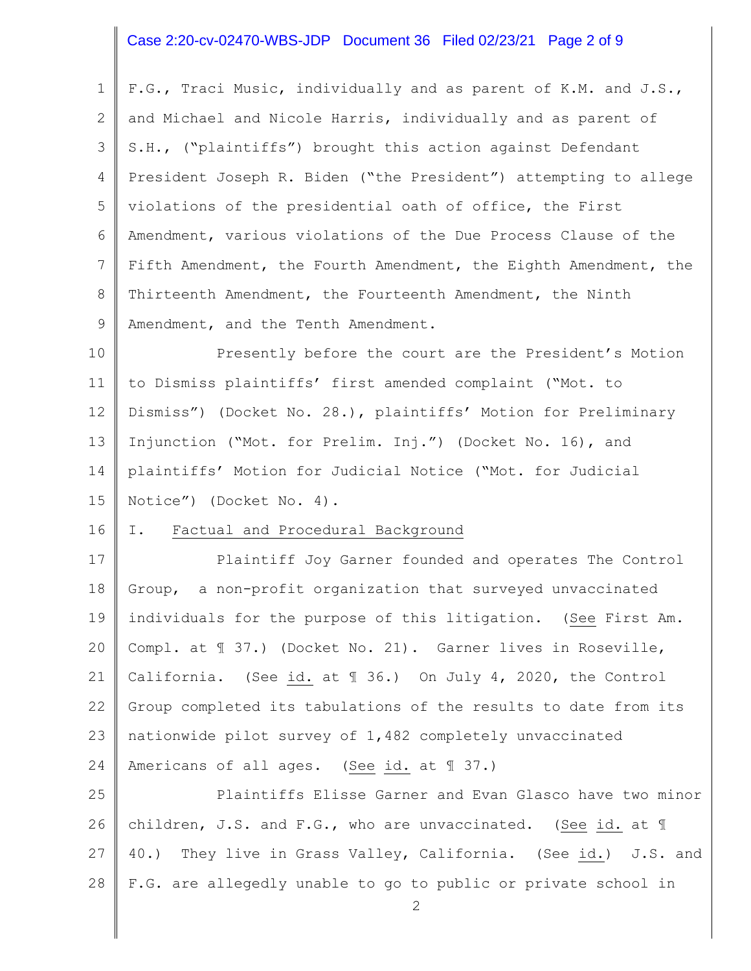## Case 2:20-cv-02470-WBS-JDP Document 36 Filed 02/23/21 Page 2 of 9

1 2 3 4 5 6 7 8 9 F.G., Traci Music, individually and as parent of K.M. and J.S., and Michael and Nicole Harris, individually and as parent of S.H., ("plaintiffs") brought this action against Defendant President Joseph R. Biden ("the President") attempting to allege violations of the presidential oath of office, the First Amendment, various violations of the Due Process Clause of the Fifth Amendment, the Fourth Amendment, the Eighth Amendment, the Thirteenth Amendment, the Fourteenth Amendment, the Ninth Amendment, and the Tenth Amendment.

10 11 12 13 14 15 Presently before the court are the President's Motion to Dismiss plaintiffs' first amended complaint ("Mot. to Dismiss") (Docket No. 28.), plaintiffs' Motion for Preliminary Injunction ("Mot. for Prelim. Inj.") (Docket No. 16), and plaintiffs' Motion for Judicial Notice ("Mot. for Judicial Notice") (Docket No. 4).

#### 16 I. Factual and Procedural Background

17 18 19 20 21 22 23 24 Plaintiff Joy Garner founded and operates The Control Group, a non-profit organization that surveyed unvaccinated individuals for the purpose of this litigation. (See First Am. Compl. at ¶ 37.) (Docket No. 21). Garner lives in Roseville, California. (See id. at ¶ 36.) On July 4, 2020, the Control Group completed its tabulations of the results to date from its nationwide pilot survey of 1,482 completely unvaccinated Americans of all ages. (See id. at ¶ 37.)

25 26 27 28 Plaintiffs Elisse Garner and Evan Glasco have two minor children, J.S. and F.G., who are unvaccinated. (See id. at ¶ 40.) They live in Grass Valley, California. (See id.) J.S. and F.G. are allegedly unable to go to public or private school in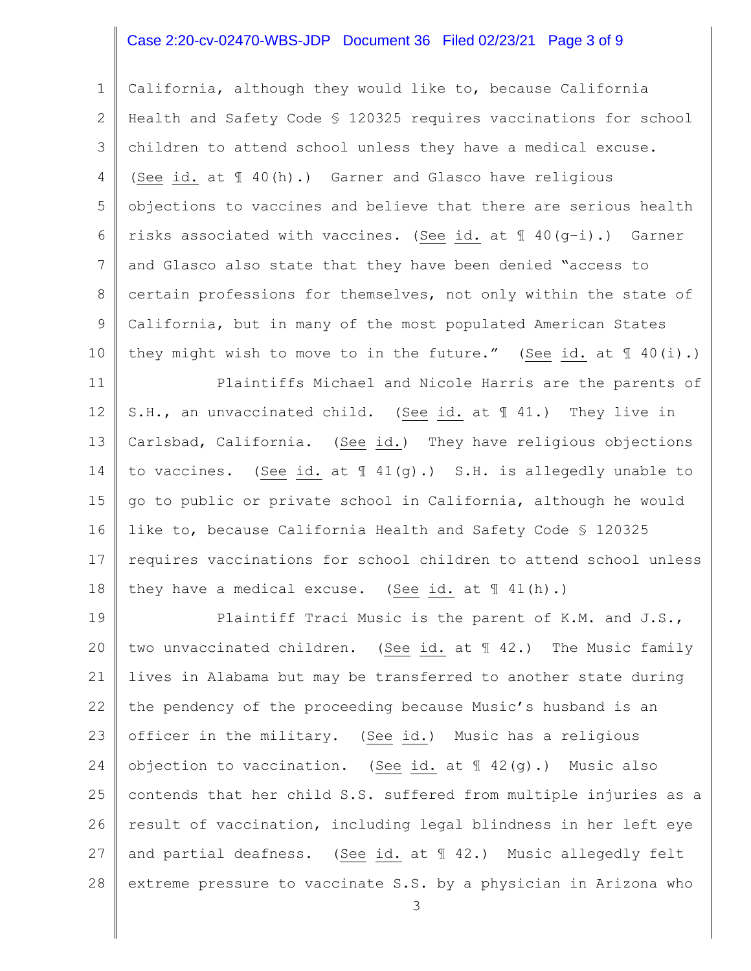## Case 2:20-cv-02470-WBS-JDP Document 36 Filed 02/23/21 Page 3 of 9

1 2 3 4 5 6 7 8 9 10 California, although they would like to, because California Health and Safety Code § 120325 requires vaccinations for school children to attend school unless they have a medical excuse. (See id. at ¶ 40(h).) Garner and Glasco have religious objections to vaccines and believe that there are serious health risks associated with vaccines. (See id. at ¶ 40(g–i).) Garner and Glasco also state that they have been denied "access to certain professions for themselves, not only within the state of California, but in many of the most populated American States they might wish to move to in the future." (See id. at  $\mathbb{I}$  40(i).)

11 12 13 14 15 16 17 18 Plaintiffs Michael and Nicole Harris are the parents of S.H., an unvaccinated child. (See id. at ¶ 41.) They live in Carlsbad, California. (See id.) They have religious objections to vaccines. (See id. at ¶ 41(g).) S.H. is allegedly unable to go to public or private school in California, although he would like to, because California Health and Safety Code § 120325 requires vaccinations for school children to attend school unless they have a medical excuse. (See id. at ¶ 41(h).)

19 20 21 22 23 24 25 26 27 28 Plaintiff Traci Music is the parent of K.M. and J.S., two unvaccinated children. (See id. at ¶ 42.) The Music family lives in Alabama but may be transferred to another state during the pendency of the proceeding because Music's husband is an officer in the military. (See id.) Music has a religious objection to vaccination. (See id. at  $\mathbb{I}$  42(q).) Music also contends that her child S.S. suffered from multiple injuries as a result of vaccination, including legal blindness in her left eye and partial deafness. (See id. at ¶ 42.) Music allegedly felt extreme pressure to vaccinate S.S. by a physician in Arizona who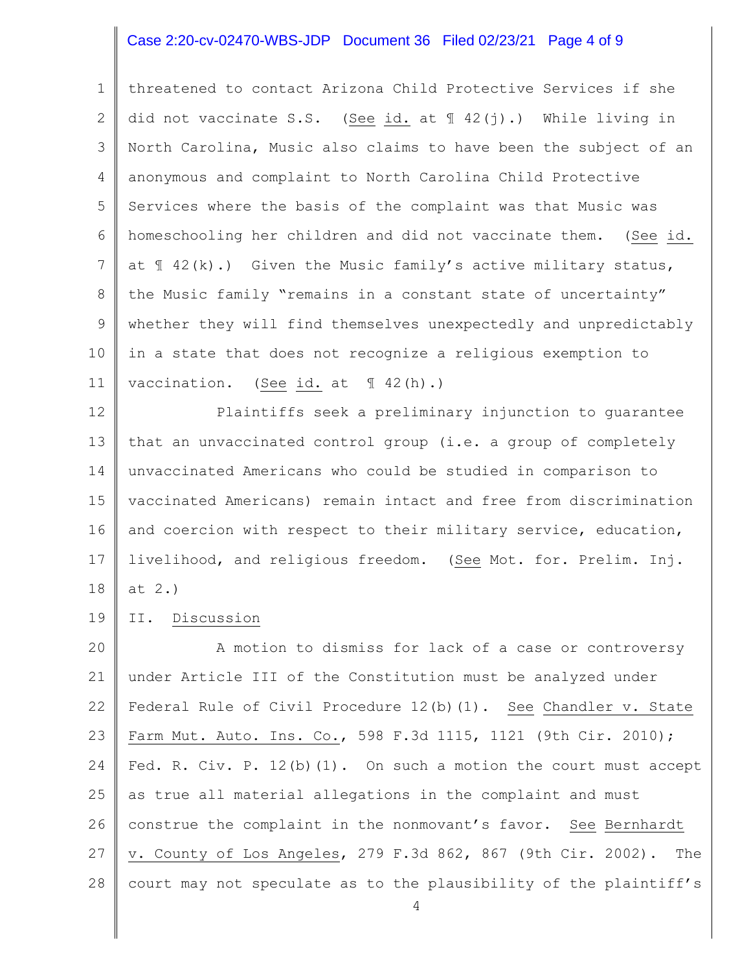## Case 2:20-cv-02470-WBS-JDP Document 36 Filed 02/23/21 Page 4 of 9

1 2 3 4 5 6 7 8 9 10 11 threatened to contact Arizona Child Protective Services if she did not vaccinate S.S. (See id. at ¶ 42(j).) While living in North Carolina, Music also claims to have been the subject of an anonymous and complaint to North Carolina Child Protective Services where the basis of the complaint was that Music was homeschooling her children and did not vaccinate them. (See id. at  $\{42(k) \cdot \}$  Given the Music family's active military status, the Music family "remains in a constant state of uncertainty" whether they will find themselves unexpectedly and unpredictably in a state that does not recognize a religious exemption to vaccination. (See id. at 1 42(h).)

12 13 14 15 16 17 18 Plaintiffs seek a preliminary injunction to guarantee that an unvaccinated control group (i.e. a group of completely unvaccinated Americans who could be studied in comparison to vaccinated Americans) remain intact and free from discrimination and coercion with respect to their military service, education, livelihood, and religious freedom. (See Mot. for. Prelim. Inj. at 2.)

19 II. Discussion

20 21 22 23 24 25 26 27 28 A motion to dismiss for lack of a case or controversy under Article III of the Constitution must be analyzed under Federal Rule of Civil Procedure 12(b)(1). See Chandler v. State Farm Mut. Auto. Ins. Co., 598 F.3d 1115, 1121 (9th Cir. 2010); Fed. R. Civ. P. 12(b)(1). On such a motion the court must accept as true all material allegations in the complaint and must construe the complaint in the nonmovant's favor. See Bernhardt v. County of Los Angeles, 279 F.3d 862, 867 (9th Cir. 2002). The court may not speculate as to the plausibility of the plaintiff's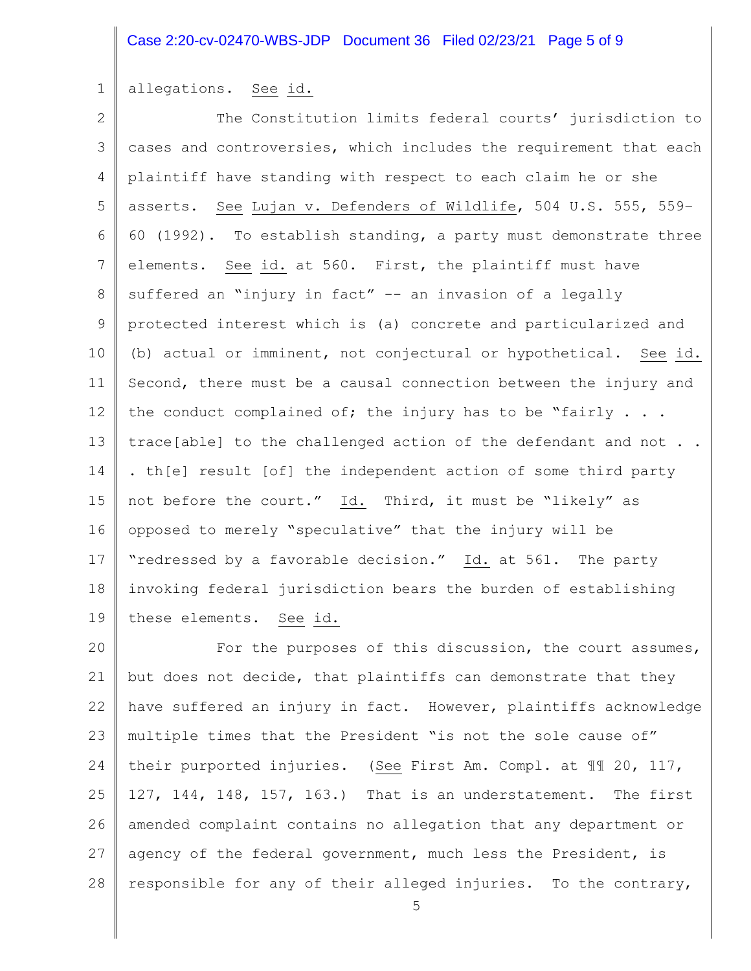## Case 2:20-cv-02470-WBS-JDP Document 36 Filed 02/23/21 Page 5 of 9

### 1 allegations. See id.

2 3 4 5 6 7 8 9 10 11 12 13 14 15 16 17 18 19 The Constitution limits federal courts' jurisdiction to cases and controversies, which includes the requirement that each plaintiff have standing with respect to each claim he or she asserts. See Lujan v. Defenders of Wildlife, 504 U.S. 555, 559– 60 (1992). To establish standing, a party must demonstrate three elements. See id. at 560. First, the plaintiff must have suffered an "injury in fact" -- an invasion of a legally protected interest which is (a) concrete and particularized and (b) actual or imminent, not conjectural or hypothetical. See id. Second, there must be a causal connection between the injury and the conduct complained of; the injury has to be "fairly  $\ldots$ . trace[able] to the challenged action of the defendant and not . . . th[e] result [of] the independent action of some third party not before the court." Id. Third, it must be "likely" as opposed to merely "speculative" that the injury will be "redressed by a favorable decision." Id. at 561. The party invoking federal jurisdiction bears the burden of establishing these elements. See id.

20 21 22 23 24 25 26 27 28 For the purposes of this discussion, the court assumes, but does not decide, that plaintiffs can demonstrate that they have suffered an injury in fact. However, plaintiffs acknowledge multiple times that the President "is not the sole cause of" their purported injuries. (See First Am. Compl. at ¶¶ 20, 117, 127, 144, 148, 157, 163.) That is an understatement. The first amended complaint contains no allegation that any department or agency of the federal government, much less the President, is responsible for any of their alleged injuries. To the contrary,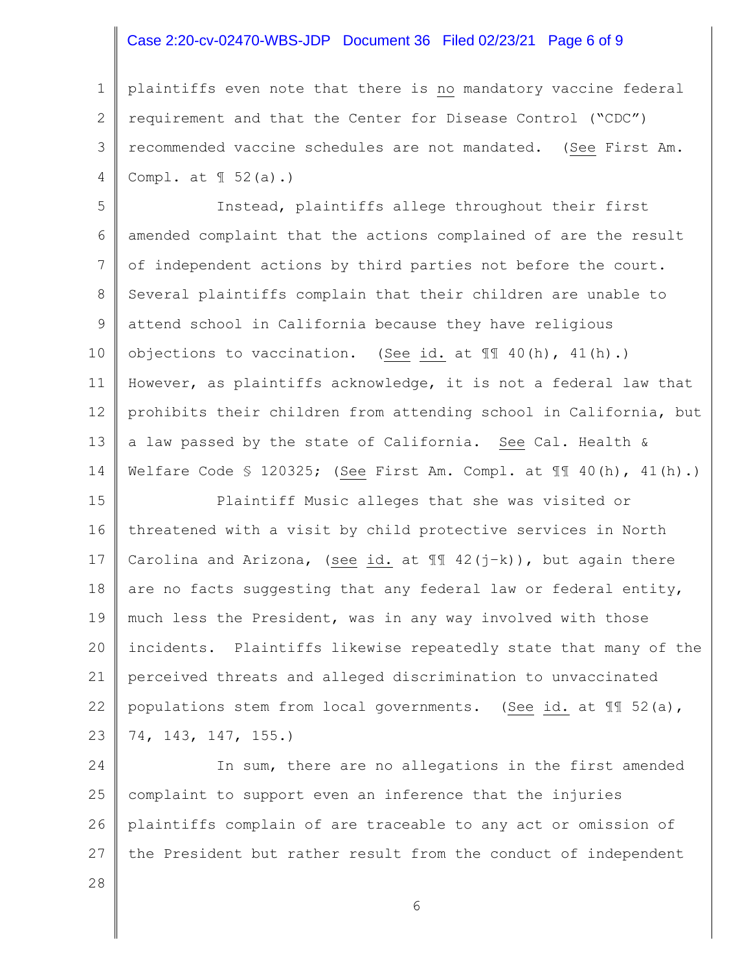## Case 2:20-cv-02470-WBS-JDP Document 36 Filed 02/23/21 Page 6 of 9

1 2 3 4 plaintiffs even note that there is no mandatory vaccine federal requirement and that the Center for Disease Control ("CDC") recommended vaccine schedules are not mandated. (See First Am. Compl. at ¶ 52(a).)

5 6 7 8 9 10 11 12 13 14 Instead, plaintiffs allege throughout their first amended complaint that the actions complained of are the result of independent actions by third parties not before the court. Several plaintiffs complain that their children are unable to attend school in California because they have religious objections to vaccination. (See id. at ¶¶ 40(h), 41(h).) However, as plaintiffs acknowledge, it is not a federal law that prohibits their children from attending school in California, but a law passed by the state of California. See Cal. Health & Welfare Code § 120325; (See First Am. Compl. at ¶¶ 40(h), 41(h).)

15 16 17 18 19 20 21 22 23 Plaintiff Music alleges that she was visited or threatened with a visit by child protective services in North Carolina and Arizona, (see id. at  $\mathbb{I}$  42(j-k)), but again there are no facts suggesting that any federal law or federal entity, much less the President, was in any way involved with those incidents. Plaintiffs likewise repeatedly state that many of the perceived threats and alleged discrimination to unvaccinated populations stem from local governments. (See id. at ¶¶ 52(a), 74, 143, 147, 155.)

24 25 26 27 In sum, there are no allegations in the first amended complaint to support even an inference that the injuries plaintiffs complain of are traceable to any act or omission of the President but rather result from the conduct of independent

28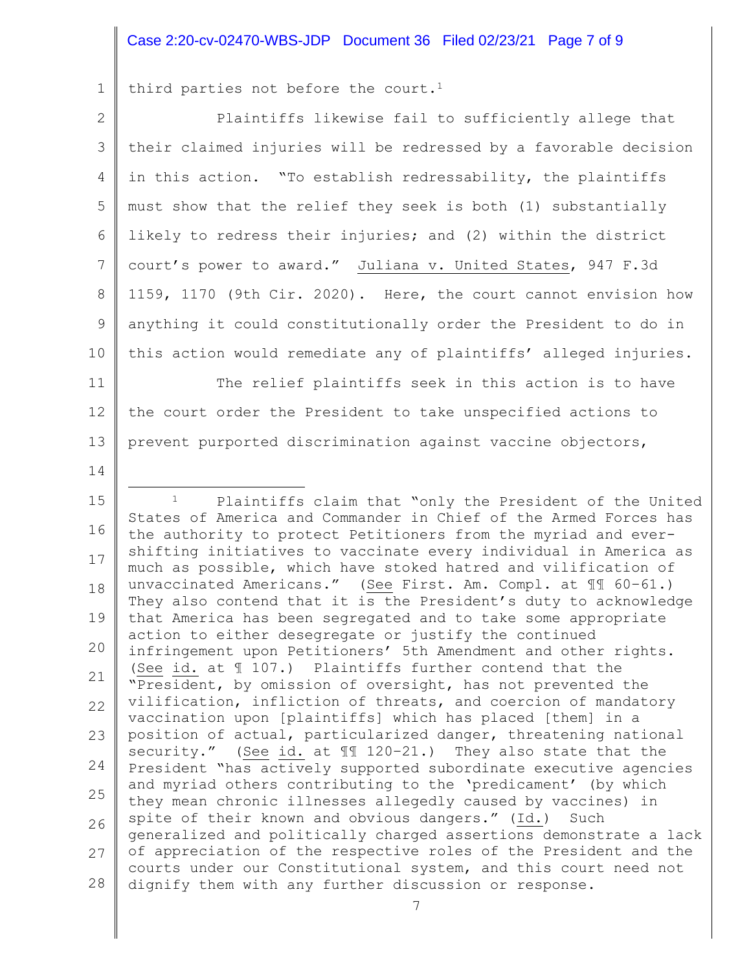## Case 2:20-cv-02470-WBS-JDP Document 36 Filed 02/23/21 Page 7 of 9

1 third parties not before the court.<sup>1</sup>

2 3 4 5 6 7 8 9 10 11 Plaintiffs likewise fail to sufficiently allege that their claimed injuries will be redressed by a favorable decision in this action. "To establish redressability, the plaintiffs must show that the relief they seek is both (1) substantially likely to redress their injuries; and (2) within the district court's power to award." Juliana v. United States, 947 F.3d 1159, 1170 (9th Cir. 2020). Here, the court cannot envision how anything it could constitutionally order the President to do in this action would remediate any of plaintiffs' alleged injuries. The relief plaintiffs seek in this action is to have

12 13 the court order the President to take unspecified actions to prevent purported discrimination against vaccine objectors,

14

15 16 17 18 19 20 21 22 23 24 25 26 27 28 <sup>1</sup> Plaintiffs claim that "only the President of the United States of America and Commander in Chief of the Armed Forces has the authority to protect Petitioners from the myriad and evershifting initiatives to vaccinate every individual in America as much as possible, which have stoked hatred and vilification of unvaccinated Americans." (See First. Am. Compl. at ¶¶ 60–61.) They also contend that it is the President's duty to acknowledge that America has been segregated and to take some appropriate action to either desegregate or justify the continued infringement upon Petitioners' 5th Amendment and other rights. (See id. at ¶ 107.) Plaintiffs further contend that the "President, by omission of oversight, has not prevented the vilification, infliction of threats, and coercion of mandatory vaccination upon [plaintiffs] which has placed [them] in a position of actual, particularized danger, threatening national security." (See id. at ¶¶ 120–21.) They also state that the President "has actively supported subordinate executive agencies and myriad others contributing to the 'predicament' (by which they mean chronic illnesses allegedly caused by vaccines) in spite of their known and obvious dangers." (Id.) Such generalized and politically charged assertions demonstrate a lack of appreciation of the respective roles of the President and the courts under our Constitutional system, and this court need not dignify them with any further discussion or response.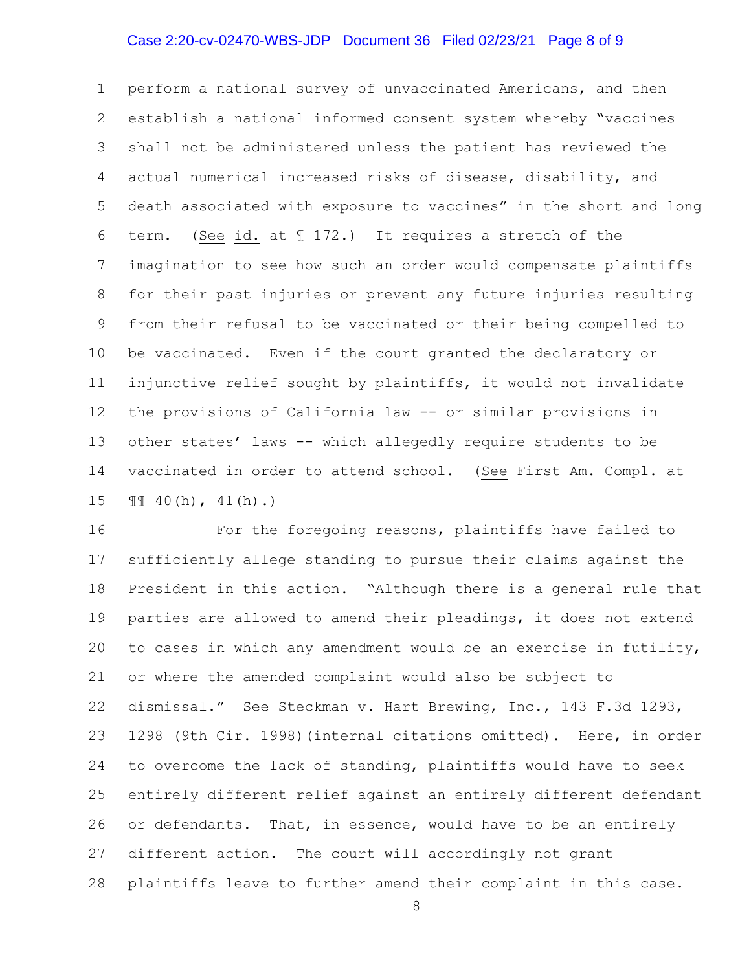## Case 2:20-cv-02470-WBS-JDP Document 36 Filed 02/23/21 Page 8 of 9

1 2 3 4 5 6 7 8 9 10 11 12 13 14 15 perform a national survey of unvaccinated Americans, and then establish a national informed consent system whereby "vaccines shall not be administered unless the patient has reviewed the actual numerical increased risks of disease, disability, and death associated with exposure to vaccines" in the short and long term. (See id. at ¶ 172.) It requires a stretch of the imagination to see how such an order would compensate plaintiffs for their past injuries or prevent any future injuries resulting from their refusal to be vaccinated or their being compelled to be vaccinated. Even if the court granted the declaratory or injunctive relief sought by plaintiffs, it would not invalidate the provisions of California law -- or similar provisions in other states' laws -- which allegedly require students to be vaccinated in order to attend school. (See First Am. Compl. at  $\mathbb{II}$  40(h), 41(h).)

16 17 18 19 20 21 22 23 24 25 26 27 28 For the foregoing reasons, plaintiffs have failed to sufficiently allege standing to pursue their claims against the President in this action. "Although there is a general rule that parties are allowed to amend their pleadings, it does not extend to cases in which any amendment would be an exercise in futility, or where the amended complaint would also be subject to dismissal." See Steckman v. Hart Brewing, Inc., 143 F.3d 1293, 1298 (9th Cir. 1998)(internal citations omitted). Here, in order to overcome the lack of standing, plaintiffs would have to seek entirely different relief against an entirely different defendant or defendants. That, in essence, would have to be an entirely different action. The court will accordingly not grant plaintiffs leave to further amend their complaint in this case.